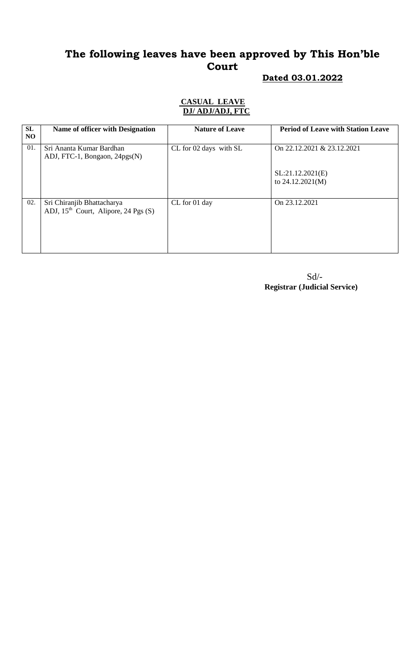# **The following leaves have been approved by This Hon'ble Court**

# **Dated 03.01.2022**

#### **CASUAL LEAVE DJ/ ADJ/ADJ, FTC**

| SL<br>NO. | Name of officer with Designation                                     | <b>Nature of Leave</b> | <b>Period of Leave with Station Leave</b> |
|-----------|----------------------------------------------------------------------|------------------------|-------------------------------------------|
| 01.       | Sri Ananta Kumar Bardhan<br>ADJ, FTC-1, Bongaon, 24pgs(N)            | CL for 02 days with SL | On 22.12.2021 & 23.12.2021                |
|           |                                                                      |                        | SL:21.12.2021(E)<br>to $24.12.2021(M)$    |
| 02.       | Sri Chiranjib Bhattacharya<br>ADJ, $15th$ Court, Alipore, 24 Pgs (S) | CL for 01 day          | On 23.12.2021                             |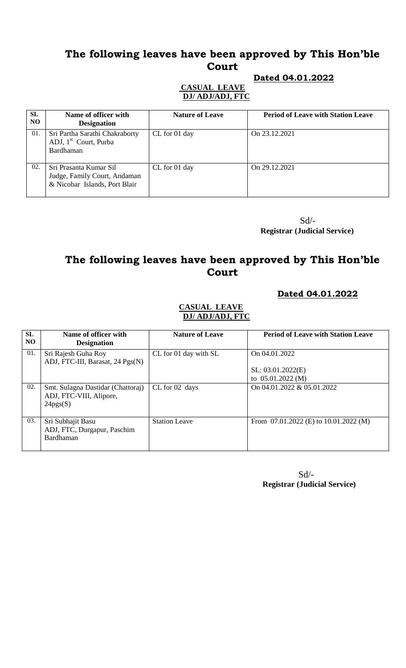# **The following leaves have been approved by This Hon'ble Court**

### **Dated 04.01.2022**

#### **CASUAL LEAVE DJ/ ADJ/ADJ, FTC**

| <b>SL</b><br>N <sub>O</sub> | Name of officer with<br><b>Designation</b>                                              | <b>Nature of Leave</b> | <b>Period of Leave with Station Leave</b> |
|-----------------------------|-----------------------------------------------------------------------------------------|------------------------|-------------------------------------------|
| 01.                         | Sri Partha Sarathi Chakraborty<br>ADJ, $1st$ Court, Purba<br>Bardhaman                  | CL for 01 day          | On 23.12.2021                             |
| 02.                         | Sri Prasanta Kumar Sil<br>Judge, Family Court, Andaman<br>& Nicobar Islands, Port Blair | CL for 01 day          | On 29.12.2021                             |

 $Sd$ <sup>-</sup>  **Registrar (Judicial Service)**

# **The following leaves have been approved by This Hon'ble Court**

### **Dated 04.01.2022**

### **CASUAL LEAVE DJ/ ADJ/ADJ, FTC**

| SL<br>NO. | Name of officer with<br><b>Designation</b>                               | <b>Nature of Leave</b> | <b>Period of Leave with Station Leave</b> |
|-----------|--------------------------------------------------------------------------|------------------------|-------------------------------------------|
| 01.       | Sri Rajesh Guha Roy<br>ADJ, FTC-III, Barasat, 24 Pgs(N)                  | CL for 01 day with SL  | On 04.01.2022                             |
|           |                                                                          |                        | SL: 03.01.2022(E)                         |
|           |                                                                          |                        | to $05.01.2022(M)$                        |
| 02.       | Smt. Sulagna Dastidar (Chattoraj)<br>ADJ, FTC-VIII, Alipore,<br>24pgs(S) | CL for 02 days         | On 04.01.2022 & 05.01.2022                |
| 03.       | Sri Subhajit Basu<br>ADJ, FTC, Durgapur, Paschim<br>Bardhaman            | <b>Station Leave</b>   | From $07.01.2022$ (E) to $10.01.2022$ (M) |

 $Sd$ <sup>-</sup>  **Registrar (Judicial Service)**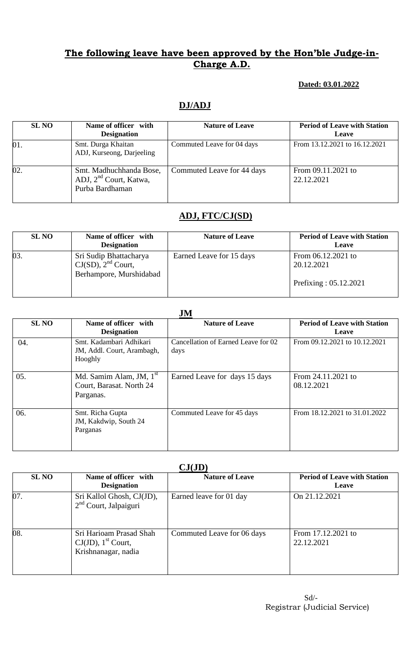### **Dated: 03.01.2022**

### **DJ/ADJ**

| <b>SL NO</b> | Name of officer with<br><b>Designation</b>                                       | <b>Nature of Leave</b>     | <b>Period of Leave with Station</b><br>Leave |
|--------------|----------------------------------------------------------------------------------|----------------------------|----------------------------------------------|
| 01.          | Smt. Durga Khaitan<br>ADJ, Kurseong, Darjeeling                                  | Commuted Leave for 04 days | From 13.12.2021 to 16.12.2021                |
| 02.          | Smt. Madhuchhanda Bose,<br>ADJ, 2 <sup>nd</sup> Court, Katwa,<br>Purba Bardhaman | Commuted Leave for 44 days | From 09.11.2021 to<br>22.12.2021             |

# **ADJ, FTC/CJ(SD)**

| <b>SL NO</b> | Name of officer with<br><b>Designation</b>                                   | <b>Nature of Leave</b>   | <b>Period of Leave with Station</b><br>Leave |
|--------------|------------------------------------------------------------------------------|--------------------------|----------------------------------------------|
| 03.          | Sri Sudip Bhattacharya<br>$CJ(SD)$ , $2nd$ Court,<br>Berhampore, Murshidabad | Earned Leave for 15 days | From $06.12.2021$ to<br>20.12.2021           |
|              |                                                                              |                          | Prefixing : $05.12.2021$                     |

### **JM**

|              | <b>OTAT</b>                                                                  |                                             |                                                     |  |  |
|--------------|------------------------------------------------------------------------------|---------------------------------------------|-----------------------------------------------------|--|--|
| <b>SL NO</b> | Name of officer with<br><b>Designation</b>                                   | <b>Nature of Leave</b>                      | <b>Period of Leave with Station</b><br><b>Leave</b> |  |  |
| 04.          | Smt. Kadambari Adhikari<br>JM, Addl. Court, Arambagh,<br>Hooghly             | Cancellation of Earned Leave for 02<br>days | From 09.12.2021 to 10.12.2021                       |  |  |
| 05.          | Md. Samim Alam, JM, 1 <sup>st</sup><br>Court, Barasat. North 24<br>Parganas. | Earned Leave for days 15 days               | From $24.11.2021$ to<br>08.12.2021                  |  |  |
| 06.          | Smt. Richa Gupta<br>JM, Kakdwip, South 24<br>Parganas                        | Commuted Leave for 45 days                  | From 18.12.2021 to 31.01.2022                       |  |  |

#### **CJ(JD)**

| $\mathbf{v}$ |                                                                                     |                            |                                              |  |  |
|--------------|-------------------------------------------------------------------------------------|----------------------------|----------------------------------------------|--|--|
| <b>SL NO</b> | Name of officer with<br><b>Designation</b>                                          | <b>Nature of Leave</b>     | <b>Period of Leave with Station</b><br>Leave |  |  |
| 07.          | Sri Kallol Ghosh, CJ(JD),<br>$2nd$ Court, Jalpaiguri                                | Earned leave for 01 day    | On 21.12.2021                                |  |  |
| 08.          | Sri Harioam Prasad Shah<br>$CJ(JD)$ , 1 <sup>st</sup> Court,<br>Krishnanagar, nadia | Commuted Leave for 06 days | From 17.12.2021 to<br>22.12.2021             |  |  |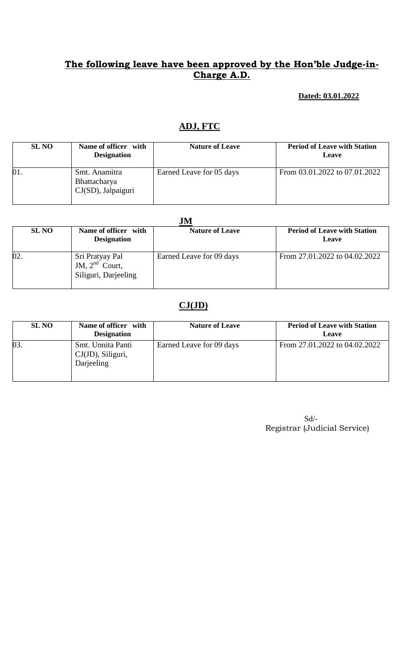## **Dated: 03.01.2022**

# **ADJ, FTC**

| <b>SL NO</b> | Name of officer with<br><b>Designation</b>             | <b>Nature of Leave</b>   | <b>Period of Leave with Station</b><br>Leave |
|--------------|--------------------------------------------------------|--------------------------|----------------------------------------------|
| 01.          | Smt. Anamitra<br>Bhattacharya<br>$CJ(SD)$ , Jalpaiguri | Earned Leave for 05 days | From 03.01.2022 to 07.01.2022                |

| JM           |                                                                |                          |                                              |  |  |
|--------------|----------------------------------------------------------------|--------------------------|----------------------------------------------|--|--|
| <b>SL NO</b> | Name of officer with<br><b>Designation</b>                     | <b>Nature of Leave</b>   | <b>Period of Leave with Station</b><br>Leave |  |  |
| 02.          | Sri Pratyay Pal<br>JM, $2^{nd}$ Court,<br>Siliguri, Darjeeling | Earned Leave for 09 days | From 27.01.2022 to 04.02.2022                |  |  |

# **CJ(JD)**

| <b>SL NO</b> | Name of officer with<br><b>Designation</b>              | <b>Nature of Leave</b>   | <b>Period of Leave with Station</b><br>Leave |
|--------------|---------------------------------------------------------|--------------------------|----------------------------------------------|
| 03.          | Smt. Unnita Panti<br>$CJ(JD)$ , Siliguri,<br>Darjeeling | Earned Leave for 09 days | From 27.01.2022 to 04.02.2022                |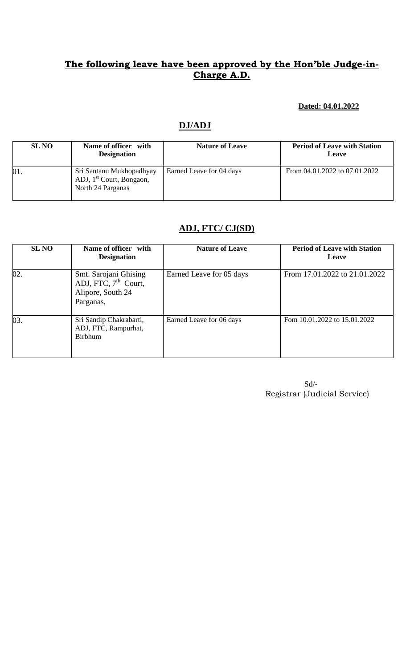#### **Dated: 04.01.2022**

# **DJ/ADJ**

| <b>SL NO</b> | Name of officer with<br><b>Designation</b>                                            | <b>Nature of Leave</b>   | <b>Period of Leave with Station</b><br>Leave |
|--------------|---------------------------------------------------------------------------------------|--------------------------|----------------------------------------------|
| 01.          | Sri Santanu Mukhopadhyay<br>ADJ, 1 <sup>st</sup> Court, Bongaon,<br>North 24 Parganas | Earned Leave for 04 days | From 04.01.2022 to 07.01.2022                |

## **ADJ, FTC/ CJ(SD)**

| <b>SL NO</b> | Name of officer with<br><b>Designation</b>                                        | <b>Nature of Leave</b>   | <b>Period of Leave with Station</b><br>Leave |
|--------------|-----------------------------------------------------------------------------------|--------------------------|----------------------------------------------|
| 02.          | Smt. Sarojani Ghising<br>ADJ, FTC, $7th$ Court,<br>Alipore, South 24<br>Parganas, | Earned Leave for 05 days | From 17.01.2022 to 21.01.2022                |
| 03.          | Sri Sandip Chakrabarti,<br>ADJ, FTC, Rampurhat,<br><b>Birbhum</b>                 | Earned Leave for 06 days | Fom 10.01.2022 to 15.01.2022                 |